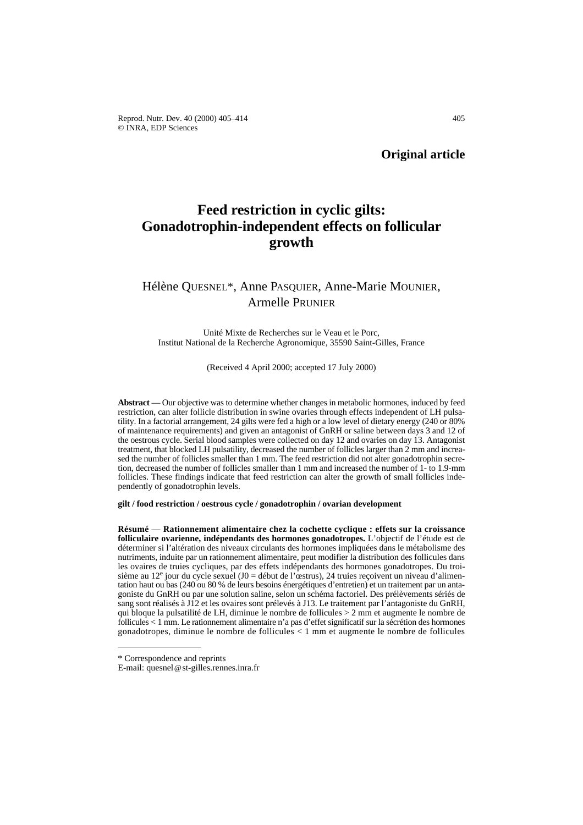Reprod. Nutr. Dev. 40 (2000) 405–414 405 © INRA, EDP Sciences

**Original article**

# **Feed restriction in cyclic gilts: Gonadotrophin-independent effects on follicular growth**

## Hélène QUESNEL\*, Anne PASQUIER, Anne-Marie MOUNIER, Armelle PRUNIER

Unité Mixte de Recherches sur le Veau et le Porc, Institut National de la Recherche Agronomique, 35590 Saint-Gilles, France

(Received 4 April 2000; accepted 17 July 2000)

**Abstract** — Our objective was to determine whether changes in metabolic hormones, induced by feed restriction, can alter follicle distribution in swine ovaries through effects independent of LH pulsatility. In a factorial arrangement, 24 gilts were fed a high or a low level of dietary energy (240 or 80% of maintenance requirements) and given an antagonist of GnRH or saline between days 3 and 12 of the oestrous cycle. Serial blood samples were collected on day 12 and ovaries on day 13. Antagonist treatment, that blocked LH pulsatility, decreased the number of follicles larger than 2 mm and increased the number of follicles smaller than 1 mm. The feed restriction did not alter gonadotrophin secretion, decreased the number of follicles smaller than 1 mm and increased the number of 1- to 1.9-mm follicles. These findings indicate that feed restriction can alter the growth of small follicles independently of gonadotrophin levels.

**gilt / food restriction / oestrous cycle / gonadotrophin / ovarian development**

**Résumé** — **Rationnement alimentaire chez la cochette cyclique : effets sur la croissance folliculaire ovarienne, indépendants des hormones gonadotropes.** L'objectif de l'étude est de déterminer si l'altération des niveaux circulants des hormones impliquées dans le métabolisme des nutriments, induite par un rationnement alimentaire, peut modifier la distribution des follicules dans les ovaires de truies cycliques, par des effets indépendants des hormones gonadotropes. Du troisième au 12<sup>e</sup> jour du cycle sexuel (J0 = début de l'œstrus), 24 truies reçoivent un niveau d'alimentation haut ou bas (240 ou 80 % de leurs besoins énergétiques d'entretien) et un traitement par un antagoniste du GnRH ou par une solution saline, selon un schéma factoriel. Des prélèvements sériés de sang sont réalisés à J12 et les ovaires sont prélevés à J13. Le traitement par l'antagoniste du GnRH, qui bloque la pulsatilité de LH, diminue le nombre de follicules > 2 mm et augmente le nombre de follicules < 1 mm. Le rationnement alimentaire n'a pas d'effet significatif sur la sécrétion des hormones gonadotropes, diminue le nombre de follicules < 1 mm et augmente le nombre de follicules

<sup>\*</sup> Correspondence and reprints

E-mail: quesnel@st-gilles.rennes.inra.fr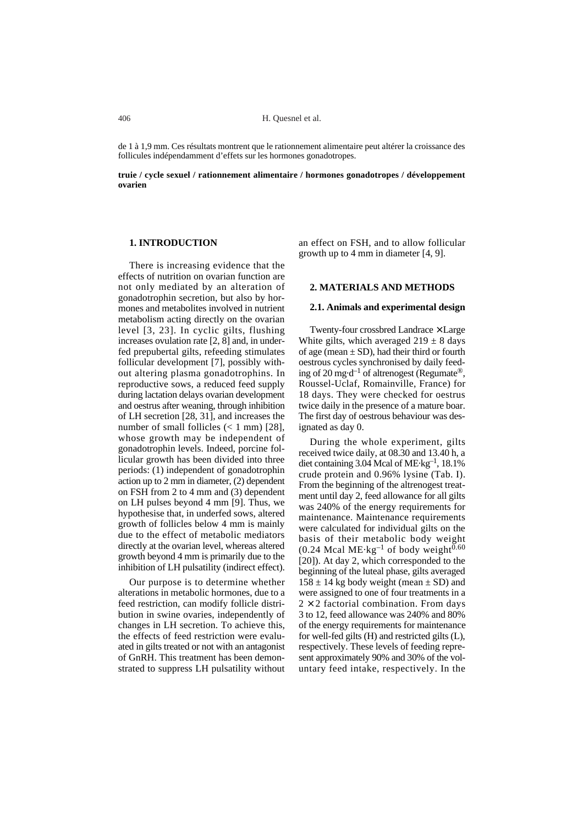de 1 à 1,9 mm. Ces résultats montrent que le rationnement alimentaire peut altérer la croissance des follicules indépendamment d'effets sur les hormones gonadotropes.

**truie / cycle sexuel / rationnement alimentaire / hormones gonadotropes / développement ovarien**

### **1. INTRODUCTION**

There is increasing evidence that the effects of nutrition on ovarian function are not only mediated by an alteration of gonadotrophin secretion, but also by hormones and metabolites involved in nutrient metabolism acting directly on the ovarian level [3, 23]. In cyclic gilts, flushing increases ovulation rate [2, 8] and, in underfed prepubertal gilts, refeeding stimulates follicular development [7], possibly without altering plasma gonadotrophins. In reproductive sows, a reduced feed supply during lactation delays ovarian development and oestrus after weaning, through inhibition of LH secretion [28, 31], and increases the number of small follicles  $(< 1$  mm) [28], whose growth may be independent of gonadotrophin levels. Indeed, porcine follicular growth has been divided into three periods: (1) independent of gonadotrophin action up to 2 mm in diameter, (2) dependent on FSH from 2 to 4 mm and (3) dependent on LH pulses beyond 4 mm [9]. Thus, we hypothesise that, in underfed sows, altered growth of follicles below 4 mm is mainly due to the effect of metabolic mediators directly at the ovarian level, whereas altered growth beyond 4 mm is primarily due to the inhibition of LH pulsatility (indirect effect).

Our purpose is to determine whether alterations in metabolic hormones, due to a feed restriction, can modify follicle distribution in swine ovaries, independently of changes in LH secretion. To achieve this, the effects of feed restriction were evaluated in gilts treated or not with an antagonist of GnRH. This treatment has been demonstrated to suppress LH pulsatility without

an effect on FSH, and to allow follicular growth up to 4 mm in diameter [4, 9].

#### **2. MATERIALS AND METHODS**

#### **2.1. Animals and experimental design**

Twenty-four crossbred Landrace × Large White gilts, which averaged  $219 \pm 8$  days of age (mean  $\pm$  SD), had their third or fourth oestrous cycles synchronised by daily feeding of 20 mg·d<sup>-1</sup> of altrenogest (Regumate<sup>®</sup>, Roussel-Uclaf, Romainville, France) for 18 days. They were checked for oestrus twice daily in the presence of a mature boar. The first day of oestrous behaviour was designated as day 0.

During the whole experiment, gilts received twice daily, at 08.30 and 13.40 h, a diet containing 3.04 Mcal of ME·kg–1, 18.1% crude protein and 0.96% lysine (Tab. I). From the beginning of the altrenogest treatment until day 2, feed allowance for all gilts was 240% of the energy requirements for maintenance. Maintenance requirements were calculated for individual gilts on the basis of their metabolic body weight  $(0.24 \text{ Mea} \cdot \text{Me-kg}^{-1} \text{ of body weight}^{0.60})$ [20]). At day 2, which corresponded to the beginning of the luteal phase, gilts averaged  $158 \pm 14$  kg body weight (mean  $\pm$  SD) and were assigned to one of four treatments in a  $2 \times 2$  factorial combination. From days 3 to 12, feed allowance was 240% and 80% of the energy requirements for maintenance for well-fed gilts (H) and restricted gilts (L), respectively. These levels of feeding represent approximately 90% and 30% of the voluntary feed intake, respectively. In the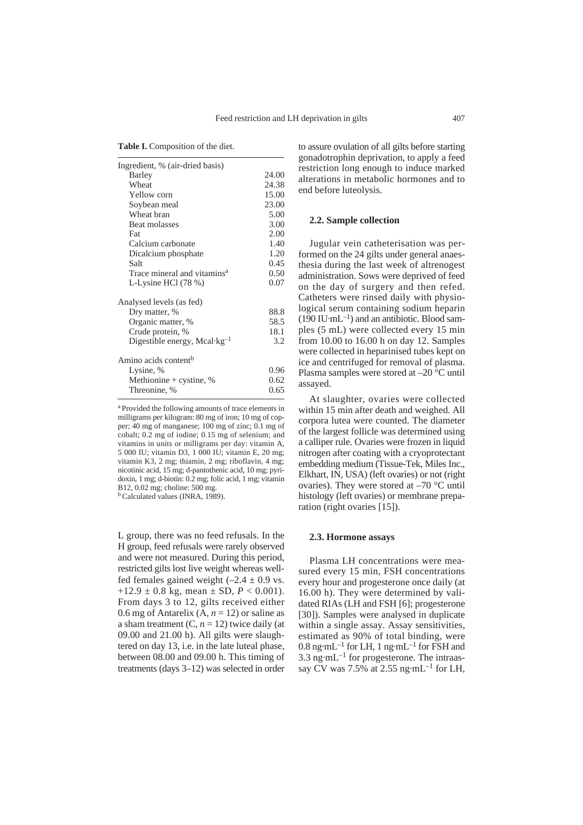**Table I.** Composition of the diet.

| Ingredient, % (air-dried basis)                  |       |
|--------------------------------------------------|-------|
| Barley                                           | 24.00 |
| Wheat                                            | 24.38 |
| Yellow corn                                      | 15.00 |
| Soybean meal                                     | 23.00 |
| Wheat bran                                       | 5.00  |
| Beat molasses                                    | 3.00  |
| Fat                                              | 2.00  |
| Calcium carbonate                                | 1.40  |
| Dicalcium phosphate                              | 1.20  |
| Salt                                             | 0.45  |
| Trace mineral and vitamins <sup>a</sup>          | 0.50  |
| L-Lysine HCl $(78%)$                             | 0.07  |
| Analysed levels (as fed)                         |       |
| Dry matter, %                                    | 88.8  |
| Organic matter, %                                | 58.5  |
| Crude protein, %                                 | 18.1  |
| Digestible energy, Mcal $\cdot$ kg <sup>-1</sup> | 3.2   |
| Amino acids content <sup>b</sup>                 |       |
| Lysine, %                                        | 0.96  |
| Methionine + cystine, %                          | 0.62  |
| Threonine, %                                     | 0.65  |
|                                                  |       |

a Provided the following amounts of trace elements in milligrams per kilogram: 80 mg of iron; 10 mg of copper; 40 mg of manganese; 100 mg of zinc; 0.1 mg of cobalt; 0.2 mg of iodine; 0.15 mg of selenium; and vitamins in units or milligrams per day: vitamin A, 5 000 IU; vitamin D3, 1 000 IU; vitamin E, 20 mg; vitamin K3, 2 mg; thiamin, 2 mg; riboflavin, 4 mg; nicotinic acid, 15 mg; d-pantothenic acid, 10 mg; pyridoxin, 1 mg; d-biotin: 0.2 mg; folic acid, 1 mg; vitamin B12, 0.02 mg; choline: 500 mg.

b Calculated values (INRA, 1989).

L group, there was no feed refusals. In the H group, feed refusals were rarely observed and were not measured. During this period, restricted gilts lost live weight whereas wellfed females gained weight  $(-2.4 \pm 0.9 \text{ vs.})$  $+12.9 \pm 0.8$  kg, mean  $\pm$  SD,  $P < 0.001$ ). From days 3 to 12, gilts received either 0.6 mg of Antarelix  $(A, n = 12)$  or saline as a sham treatment  $(C, n = 12)$  twice daily (at 09.00 and 21.00 h). All gilts were slaughtered on day 13, i.e. in the late luteal phase, between 08.00 and 09.00 h. This timing of treatments (days 3–12) was selected in order to assure ovulation of all gilts before starting gonadotrophin deprivation, to apply a feed restriction long enough to induce marked alterations in metabolic hormones and to end before luteolysis.

#### **2.2. Sample collection**

Jugular vein catheterisation was performed on the 24 gilts under general anaesthesia during the last week of altrenogest administration. Sows were deprived of feed on the day of surgery and then refed. Catheters were rinsed daily with physiological serum containing sodium heparin  $(190 \text{ IU} \cdot \text{mL}^{-1})$  and an antibiotic. Blood samples (5 mL) were collected every 15 min from 10.00 to 16.00 h on day 12. Samples were collected in heparinised tubes kept on ice and centrifuged for removal of plasma. Plasma samples were stored at –20 °C until assayed.

At slaughter, ovaries were collected within 15 min after death and weighed. All corpora lutea were counted. The diameter of the largest follicle was determined using a calliper rule. Ovaries were frozen in liquid nitrogen after coating with a cryoprotectant embedding medium (Tissue-Tek, Miles Inc., Elkhart, IN, USA) (left ovaries) or not (right ovaries). They were stored at –70 °C until histology (left ovaries) or membrane preparation (right ovaries [15]).

#### **2.3. Hormone assays**

Plasma LH concentrations were measured every 15 min, FSH concentrations every hour and progesterone once daily (at 16.00 h). They were determined by validated RIAs (LH and FSH [6]; progesterone [30]). Samples were analysed in duplicate within a single assay. Assay sensitivities, estimated as 90% of total binding, were  $0.8$  ng·mL<sup>-1</sup> for LH, 1 ng·mL<sup>-1</sup> for FSH and  $3.3 \text{ ng} \cdot \text{m} \text{L}^{-1}$  for progesterone. The intraassay CV was 7.5% at 2.55 ng·mL<sup>-1</sup> for LH,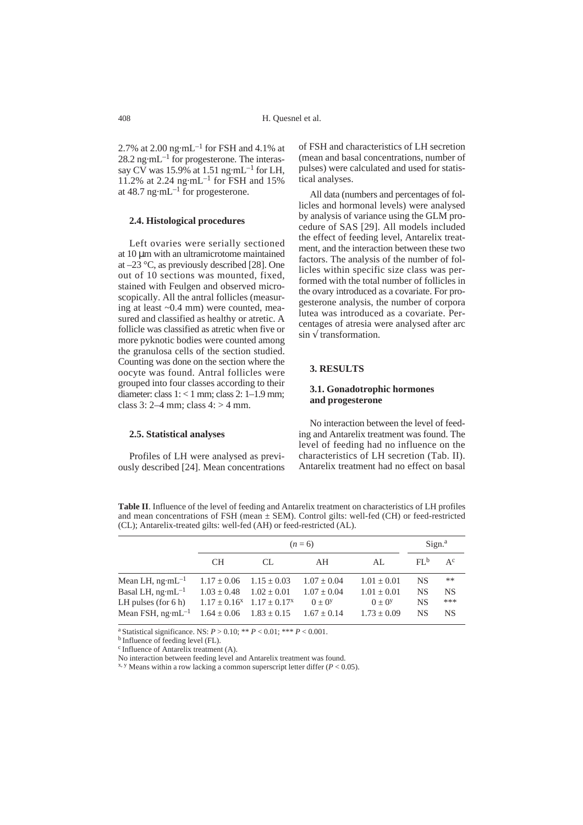2.7% at 2.00  $\text{ng} \cdot \text{m} \text{L}^{-1}$  for FSH and 4.1% at  $28.2$  ng·mL<sup>-1</sup> for progesterone. The interassay CV was 15.9% at 1.51 ng $\cdot$ mL<sup>-1</sup> for LH, 11.2% at 2.24 ng·mL<sup>-1</sup> for FSH and 15% at  $48.7$  ng·mL<sup>-1</sup> for progesterone.

#### **2.4. Histological procedures**

Left ovaries were serially sectioned at 10 µm with an ultramicrotome maintained at –23 °C, as previously described [28]. One out of 10 sections was mounted, fixed, stained with Feulgen and observed microscopically. All the antral follicles (measuring at least ~0.4 mm) were counted, measured and classified as healthy or atretic. A follicle was classified as atretic when five or more pyknotic bodies were counted among the granulosa cells of the section studied. Counting was done on the section where the oocyte was found. Antral follicles were grouped into four classes according to their diameter: class 1: < 1 mm; class 2: 1–1.9 mm; class  $3: 2-4$  mm; class  $4: > 4$  mm.

**2.5. Statistical analyses**

Profiles of LH were analysed as previously described [24]. Mean concentrations of FSH and characteristics of LH secretion (mean and basal concentrations, number of pulses) were calculated and used for statistical analyses.

All data (numbers and percentages of follicles and hormonal levels) were analysed by analysis of variance using the GLM procedure of SAS [29]. All models included the effect of feeding level, Antarelix treatment, and the interaction between these two factors. The analysis of the number of follicles within specific size class was performed with the total number of follicles in the ovary introduced as a covariate. For progesterone analysis, the number of corpora lutea was introduced as a covariate. Percentages of atresia were analysed after arc  $\sin \sqrt{\text{transformation}}$ .

## **3. RESULTS**

### **3.1. Gonadotrophic hormones and progesterone**

No interaction between the level of feeding and Antarelix treatment was found. The level of feeding had no influence on the characteristics of LH secretion (Tab. II). Antarelix treatment had no effect on basal

**Table II**. Influence of the level of feeding and Antarelix treatment on characteristics of LH profiles and mean concentrations of FSH (mean  $\pm$  SEM). Control gilts: well-fed (CH) or feed-restricted (CL); Antarelix-treated gilts: well-fed (AH) or feed-restricted (AL).

|                                                                               |     | Sign. <sup>a</sup> |              |                 |                 |           |
|-------------------------------------------------------------------------------|-----|--------------------|--------------|-----------------|-----------------|-----------|
|                                                                               | CH. | CL.                | AH           | AL.             | FL <sup>b</sup> | $A^c$     |
| Mean LH, ng·mL <sup>-1</sup> $1.17 \pm 0.06$ $1.15 \pm 0.03$ $1.07 \pm 0.04$  |     |                    |              | $1.01 \pm 0.01$ | <b>NS</b>       | $***$     |
| Basal LH, ng·mL <sup>-1</sup> $1.03 \pm 0.48$ $1.02 \pm 0.01$ $1.07 \pm 0.04$ |     |                    |              | $1.01 \pm 0.01$ | <b>NS</b>       | <b>NS</b> |
| LH pulses (for 6 h) $1.17 \pm 0.16^x$ $1.17 \pm 0.17^x$                       |     |                    | $(1) + (1)Y$ | $0 + 0y$        | <b>NS</b>       | ***       |
| Mean FSH, ng·mL <sup>-1</sup> $1.64 \pm 0.06$ $1.83 \pm 0.15$ $1.67 \pm 0.14$ |     |                    |              | $1.73 \pm 0.09$ | <b>NS</b>       | <b>NS</b> |

<sup>a</sup> Statistical significance. NS:  $P > 0.10$ ; \*\*  $P < 0.01$ ; \*\*\*  $P < 0.001$ .<br><sup>b</sup> Influence of feeding level (FL).

c Influence of Antarelix treatment (A).

No interaction between feeding level and Antarelix treatment was found.

 $x, y$  Means within a row lacking a common superscript letter differ ( $P < 0.05$ ).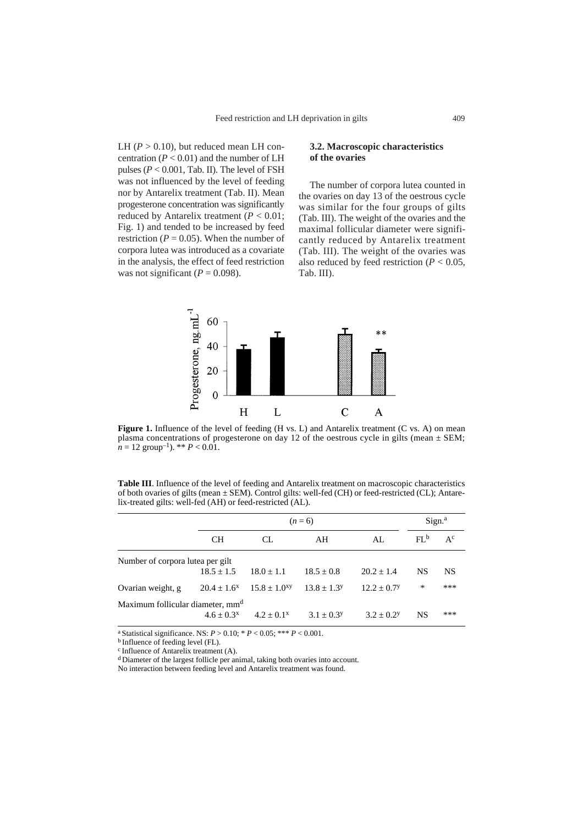LH  $(P > 0.10)$ , but reduced mean LH concentration  $(P < 0.01)$  and the number of LH pulses  $(P < 0.001$ , Tab. II). The level of FSH was not influenced by the level of feeding nor by Antarelix treatment (Tab. II). Mean progesterone concentration was significantly reduced by Antarelix treatment ( $P < 0.01$ ; Fig. 1) and tended to be increased by feed restriction ( $P = 0.05$ ). When the number of corpora lutea was introduced as a covariate in the analysis, the effect of feed restriction was not significant ( $P = 0.098$ ).

#### **3.2. Macroscopic characteristics of the ovaries**

The number of corpora lutea counted in the ovaries on day 13 of the oestrous cycle was similar for the four groups of gilts (Tab. III). The weight of the ovaries and the maximal follicular diameter were significantly reduced by Antarelix treatment (Tab. III). The weight of the ovaries was also reduced by feed restriction ( $P < 0.05$ , Tab. III).



**Figure 1.** Influence of the level of feeding (H vs. L) and Antarelix treatment (C vs. A) on mean plasma concentrations of progesterone on day 12 of the oestrous cycle in gilts (mean  $\pm$  SEM;  $n = 12$  group<sup>-1</sup>). \*\*  $P < 0.01$ .

**Table III**. Influence of the level of feeding and Antarelix treatment on macroscopic characteristics of both ovaries of gilts (mean ± SEM). Control gilts: well-fed (CH) or feed-restricted (CL); Antarelix-treated gilts: well-fed (AH) or feed-restricted (AL).

|                                              |                  | Sign. <sup>a</sup>  |                          |                           |           |       |  |  |  |
|----------------------------------------------|------------------|---------------------|--------------------------|---------------------------|-----------|-------|--|--|--|
|                                              | CН               | CL.                 | AH                       | AI.                       | $FL^b$    | $A^c$ |  |  |  |
| Number of corpora lutea per gilt             |                  |                     |                          |                           |           |       |  |  |  |
|                                              | $18.5 + 1.5$     | $18.0 + 1.1$        | $18.5 + 0.8$             | $20.2 + 1.4$              | <b>NS</b> | NS.   |  |  |  |
| Ovarian weight, g                            | $20.4 + 1.6^{x}$ | $15.8 \pm 1.0^{xy}$ | $13.8 + 1.3^y$           | $12.2 + 0.7$ <sup>y</sup> | *         | ***   |  |  |  |
| Maximum follicular diameter, mm <sup>d</sup> |                  |                     |                          |                           |           |       |  |  |  |
|                                              | $4.6 + 0.3^{x}$  | $4.2 + 0.1^x$       | $3.1 + 0.3$ <sup>y</sup> | $3.2 + 0.2$               | NS        | ***   |  |  |  |

<sup>a</sup> Statistical significance. NS:  $P > 0.10$ ;  $* P < 0.05$ ;  $*** P < 0.001$ .<br><sup>b</sup> Influence of feeding level (FL).

c Influence of Antarelix treatment (A).

d Diameter of the largest follicle per animal, taking both ovaries into account.

No interaction between feeding level and Antarelix treatment was found.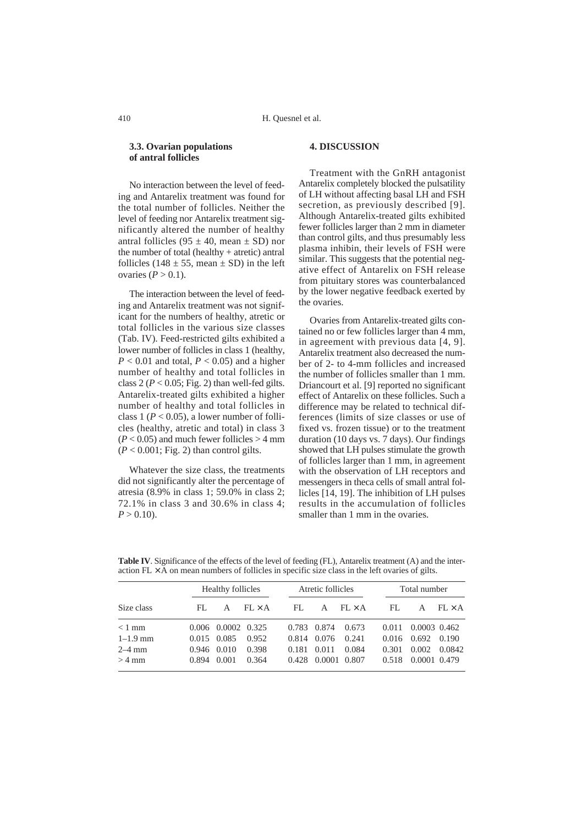#### **3.3. Ovarian populations of antral follicles**

No interaction between the level of feeding and Antarelix treatment was found for the total number of follicles. Neither the level of feeding nor Antarelix treatment significantly altered the number of healthy antral follicles (95  $\pm$  40, mean  $\pm$  SD) nor the number of total (healthy + atretic) antral follicles (148  $\pm$  55, mean  $\pm$  SD) in the left ovaries  $(P > 0.1)$ .

The interaction between the level of feeding and Antarelix treatment was not significant for the numbers of healthy, atretic or total follicles in the various size classes (Tab. IV). Feed-restricted gilts exhibited a lower number of follicles in class 1 (healthy,  $P < 0.01$  and total,  $P < 0.05$ ) and a higher number of healthy and total follicles in class  $2 (P < 0.05; Fig. 2)$  than well-fed gilts. Antarelix-treated gilts exhibited a higher number of healthy and total follicles in class 1 ( $P < 0.05$ ), a lower number of follicles (healthy, atretic and total) in class 3  $(P < 0.05)$  and much fewer follicles  $> 4$  mm  $(P < 0.001$ ; Fig. 2) than control gilts.

Whatever the size class, the treatments did not significantly alter the percentage of atresia (8.9% in class 1; 59.0% in class 2; 72.1% in class 3 and 30.6% in class 4;  $P > 0.10$ .

## **4. DISCUSSION**

Treatment with the GnRH antagonist Antarelix completely blocked the pulsatility of LH without affecting basal LH and FSH secretion, as previously described [9]. Although Antarelix-treated gilts exhibited fewer follicles larger than 2 mm in diameter than control gilts, and thus presumably less plasma inhibin, their levels of FSH were similar. This suggests that the potential negative effect of Antarelix on FSH release from pituitary stores was counterbalanced by the lower negative feedback exerted by the ovaries.

Ovaries from Antarelix-treated gilts contained no or few follicles larger than 4 mm, in agreement with previous data [4, 9]. Antarelix treatment also decreased the number of 2- to 4-mm follicles and increased the number of follicles smaller than 1 mm. Driancourt et al. [9] reported no significant effect of Antarelix on these follicles. Such a difference may be related to technical differences (limits of size classes or use of fixed vs. frozen tissue) or to the treatment duration (10 days vs. 7 days). Our findings showed that LH pulses stimulate the growth of follicles larger than 1 mm, in agreement with the observation of LH receptors and messengers in theca cells of small antral follicles [14, 19]. The inhibition of LH pulses results in the accumulation of follicles smaller than 1 mm in the ovaries.

|              | Healthy follicles |                    |               | Atretic follicles |              |               | Total number |                         |               |
|--------------|-------------------|--------------------|---------------|-------------------|--------------|---------------|--------------|-------------------------|---------------|
| Size class   | -FL               | A                  | $FI \times A$ | FL.               | $\mathsf{A}$ | $FL \times A$ | FL.          | A                       | $FL \times A$ |
| $< 1$ mm     |                   | 0.006 0.0002 0.325 |               | 0.783             | 0.874        | 0.673         | 0.011        | 0.0003 0.462            |               |
| $1 - 1.9$ mm |                   | $0.015$ 0.085      | 0.952         | 0.814             | 0.076        | 0.241         |              | $0.016$ $0.692$ $0.190$ |               |
| $2-4$ mm     |                   | $0.946$ $0.010$    | 0.398         | 0.181             | 0.011        | 0.084         | 0.301        | 0.002                   | 0.0842        |
| $>4$ mm      | 0.894             | 0.001              | 0.364         | 0.428             |              | 0.0001 0.807  | 0.518        | 0.0001 0.479            |               |

**Table IV**. Significance of the effects of the level of feeding (FL), Antarelix treatment (A) and the interaction  $FL \times A$  on mean numbers of follicles in specific size class in the left ovaries of gilts.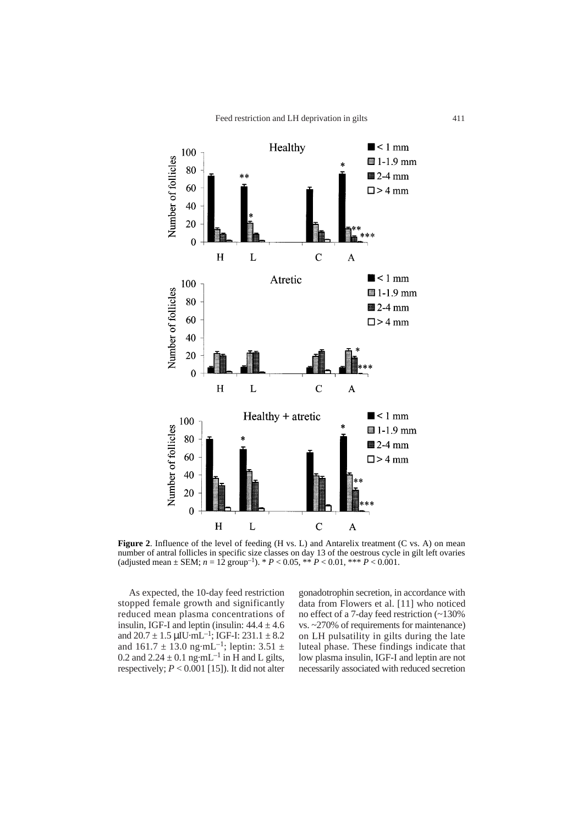

**Figure 2**. Influence of the level of feeding (H vs. L) and Antarelix treatment (C vs. A) on mean number of antral follicles in specific size classes on day 13 of the oestrous cycle in gilt left ovaries (adjusted mean  $\pm$  SEM;  $n = 12$  group<sup>-1</sup>). \*  $P < 0.05$ , \*\*  $P < 0.01$ , \*\*\*  $P < 0.001$ .

As expected, the 10-day feed restriction stopped female growth and significantly reduced mean plasma concentrations of insulin, IGF-I and leptin (insulin:  $44.4 \pm 4.6$ and  $20.7 \pm 1.5 \,\mu\text{IU} \cdot \text{mL}^{-1}$ ; IGF-I:  $231.1 \pm 8.2$ and  $161.7 \pm 13.0$  ng·mL<sup>-1</sup>; leptin: 3.51  $\pm$ 0.2 and  $2.24 \pm 0.1$  ng·mL<sup>-1</sup> in H and L gilts, respectively;  $P < 0.001$  [15]). It did not alter

gonadotrophin secretion, in accordance with data from Flowers et al. [11] who noticed no effect of a 7-day feed restriction (~130% vs. ~270% of requirements for maintenance) on LH pulsatility in gilts during the late luteal phase. These findings indicate that low plasma insulin, IGF-I and leptin are not necessarily associated with reduced secretion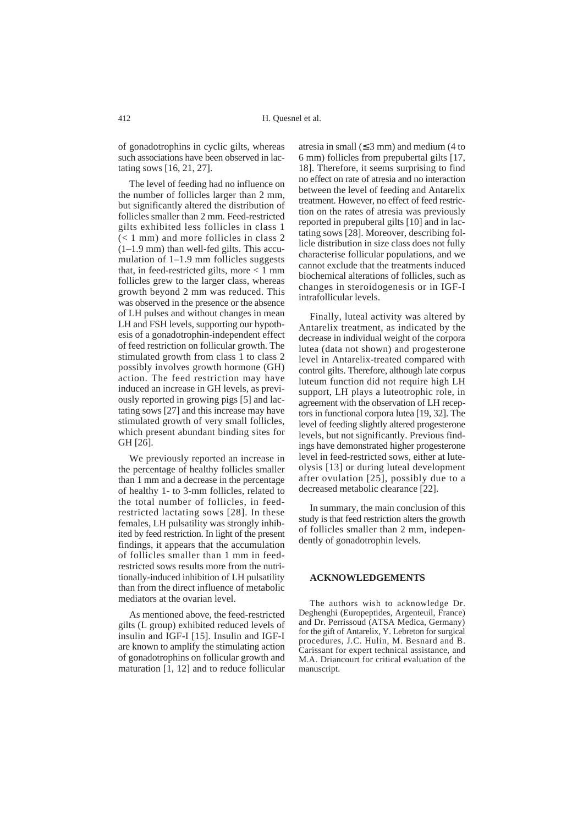of gonadotrophins in cyclic gilts, whereas such associations have been observed in lactating sows [16, 21, 27].

The level of feeding had no influence on the number of follicles larger than 2 mm, but significantly altered the distribution of follicles smaller than 2 mm. Feed-restricted gilts exhibited less follicles in class 1 (< 1 mm) and more follicles in class 2 (1–1.9 mm) than well-fed gilts. This accumulation of 1–1.9 mm follicles suggests that, in feed-restricted gilts, more  $\lt 1$  mm follicles grew to the larger class, whereas growth beyond 2 mm was reduced. This was observed in the presence or the absence of LH pulses and without changes in mean LH and FSH levels, supporting our hypothesis of a gonadotrophin-independent effect of feed restriction on follicular growth. The stimulated growth from class 1 to class 2 possibly involves growth hormone (GH) action. The feed restriction may have induced an increase in GH levels, as previously reported in growing pigs [5] and lactating sows [27] and this increase may have stimulated growth of very small follicles, which present abundant binding sites for GH [26].

We previously reported an increase in the percentage of healthy follicles smaller than 1 mm and a decrease in the percentage of healthy 1- to 3-mm follicles, related to the total number of follicles, in feedrestricted lactating sows [28]. In these females, LH pulsatility was strongly inhibited by feed restriction. In light of the present findings, it appears that the accumulation of follicles smaller than 1 mm in feedrestricted sows results more from the nutritionally-induced inhibition of LH pulsatility than from the direct influence of metabolic mediators at the ovarian level.

As mentioned above, the feed-restricted gilts (L group) exhibited reduced levels of insulin and IGF-I [15]. Insulin and IGF-I are known to amplify the stimulating action of gonadotrophins on follicular growth and maturation [1, 12] and to reduce follicular

atresia in small  $(≤ 3$  mm) and medium  $(4$  to 6 mm) follicles from prepubertal gilts [17, 18]. Therefore, it seems surprising to find no effect on rate of atresia and no interaction between the level of feeding and Antarelix treatment. However, no effect of feed restriction on the rates of atresia was previously reported in prepuberal gilts [10] and in lactating sows [28]. Moreover, describing follicle distribution in size class does not fully characterise follicular populations, and we cannot exclude that the treatments induced biochemical alterations of follicles, such as changes in steroidogenesis or in IGF-I intrafollicular levels.

Finally, luteal activity was altered by Antarelix treatment, as indicated by the decrease in individual weight of the corpora lutea (data not shown) and progesterone level in Antarelix-treated compared with control gilts. Therefore, although late corpus luteum function did not require high LH support, LH plays a luteotrophic role, in agreement with the observation of LH receptors in functional corpora lutea [19, 32]. The level of feeding slightly altered progesterone levels, but not significantly. Previous findings have demonstrated higher progesterone level in feed-restricted sows, either at luteolysis [13] or during luteal development after ovulation [25], possibly due to a decreased metabolic clearance [22].

In summary, the main conclusion of this study is that feed restriction alters the growth of follicles smaller than 2 mm, independently of gonadotrophin levels.

### **ACKNOWLEDGEMENTS**

The authors wish to acknowledge Dr. Deghenghi (Europeptides, Argenteuil, France) and Dr. Perrissoud (ATSA Medica, Germany) for the gift of Antarelix, Y. Lebreton for surgical procedures, J.C. Hulin, M. Besnard and B. Carissant for expert technical assistance, and M.A. Driancourt for critical evaluation of the manuscript.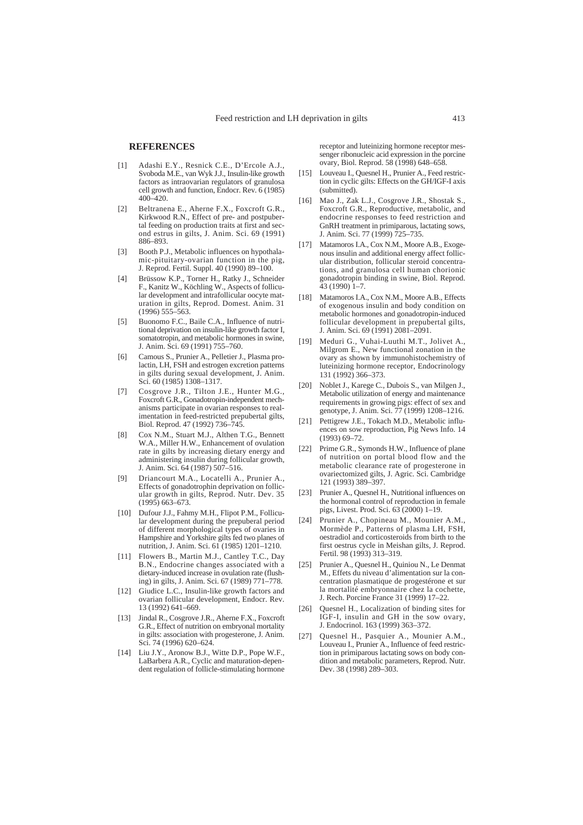#### **REFERENCES**

- [1] Adashi E.Y., Resnick C.E., D'Ercole A.J., Svoboda M.E., van Wyk J.J., Insulin-like growth factors as intraovarian regulators of granulosa cell growth and function, Endocr. Rev. 6 (1985) 400–420.
- [2] Beltranena E., Aherne F.X., Foxcroft G.R., Kirkwood R.N., Effect of pre- and postpubertal feeding on production traits at first and second estrus in gilts, J. Anim. Sci. 69 (1991) 886–893.
- [3] Booth P.J., Metabolic influences on hypothalamic-pituitary-ovarian function in the pig, J. Reprod. Fertil. Suppl. 40 (1990) 89–100.
- [4] Brüssow K.P., Torner H., Ratky J., Schneider F., Kanitz W., Köchling W., Aspects of follicular development and intrafollicular oocyte maturation in gilts, Reprod. Domest. Anim. 31 (1996) 555–563.
- [5] Buonomo F.C., Baile C.A., Influence of nutritional deprivation on insulin-like growth factor I, somatotropin, and metabolic hormones in swine, J. Anim. Sci. 69 (1991) 755–760.
- [6] Camous S., Prunier A., Pelletier J., Plasma prolactin, LH, FSH and estrogen excretion patterns in gilts during sexual development, J. Anim. Sci. 60 (1985) 1308–1317.
- [7] Cosgrove J.R., Tilton J.E., Hunter M.G., Foxcroft G.R., Gonadotropin-independent mechanisms participate in ovarian responses to realimentation in feed-restricted prepubertal gilts, Biol. Reprod. 47 (1992) 736–745.
- [8] Cox N.M., Stuart M.J., Althen T.G., Bennett W.A., Miller H.W., Enhancement of ovulation rate in gilts by increasing dietary energy and administering insulin during follicular growth, J. Anim. Sci. 64 (1987) 507–516.
- [9] Driancourt M.A., Locatelli A., Prunier A., Effects of gonadotrophin deprivation on follicular growth in gilts, Reprod. Nutr. Dev. 35 (1995) 663–673.
- [10] Dufour J.J., Fahmy M.H., Flipot P.M., Follicular development during the prepuberal period of different morphological types of ovaries in Hampshire and Yorkshire gilts fed two planes of nutrition, J. Anim. Sci. 61 (1985) 1201–1210.
- [11] Flowers B., Martin M.J., Cantley T.C., Dav B.N., Endocrine changes associated with a dietary-induced increase in ovulation rate (flushing) in gilts, J. Anim. Sci. 67 (1989) 771–778.
- [12] Giudice L.C., Insulin-like growth factors and ovarian follicular development, Endocr. Rev. 13 (1992) 641–669.
- [13] Jindal R., Cosgrove J.R., Aherne F.X., Foxcroft G.R., Effect of nutrition on embryonal mortality in gilts: association with progesterone, J. Anim. Sci. 74 (1996) 620–624.
- [14] Liu J.Y., Aronow B.J., Witte D.P., Pope W.F., LaBarbera A.R., Cyclic and maturation-dependent regulation of follicle-stimulating hormone

receptor and luteinizing hormone receptor messenger ribonucleic acid expression in the porcine ovary, Biol. Reprod. 58 (1998) 648–658.

- [15] Louveau I., Quesnel H., Prunier A., Feed restriction in cyclic gilts: Effects on the GH/IGF-I axis (submitted).
- [16] Mao J., Zak L.J., Cosgrove J.R., Shostak S., Foxcroft G.R., Reproductive, metabolic, and endocrine responses to feed restriction and GnRH treatment in primiparous, lactating sows, J. Anim. Sci. 77 (1999) 725–735.
- [17] Matamoros I.A., Cox N.M., Moore A.B., Exogenous insulin and additional energy affect follicular distribution, follicular steroid concentrations, and granulosa cell human chorionic gonadotropin binding in swine, Biol. Reprod. 43 (1990) 1–7.
- [18] Matamoros I.A., Cox N.M., Moore A.B., Effects of exogenous insulin and body condition on metabolic hormones and gonadotropin-induced follicular development in prepubertal gilts, J. Anim. Sci. 69 (1991) 2081–2091.
- [19] Meduri G., Vuhai-Luuthi M.T., Jolivet A., Milgrom E., New functional zonation in the ovary as shown by immunohistochemistry of luteinizing hormone receptor, Endocrinology 131 (1992) 366–373.
- [20] Noblet J., Karege C., Dubois S., van Milgen J., Metabolic utilization of energy and maintenance requirements in growing pigs: effect of sex and genotype, J. Anim. Sci. 77 (1999) 1208–1216.
- [21] Pettigrew J.E., Tokach M.D., Metabolic influences on sow reproduction, Pig News Info. 14 (1993) 69–72.
- [22] Prime G.R., Symonds H.W., Influence of plane of nutrition on portal blood flow and the metabolic clearance rate of progesterone in ovariectomized gilts, J. Agric. Sci. Cambridge 121 (1993) 389–397.
- [23] Prunier A., Quesnel H., Nutritional influences on the hormonal control of reproduction in female pigs, Livest. Prod. Sci. 63 (2000) 1–19.
- [24] Prunier A., Chopineau M., Mounier A.M., Mormède P., Patterns of plasma LH, FSH, oestradiol and corticosteroids from birth to the first oestrus cycle in Meishan gilts, J. Reprod. Fertil. 98 (1993) 313–319.
- [25] Prunier A., Quesnel H., Quiniou N., Le Denmat M., Effets du niveau d'alimentation sur la concentration plasmatique de progestérone et sur la mortalité embryonnaire chez la cochette, J. Rech. Porcine France 31 (1999) 17–22.
- [26] Ouesnel H., Localization of binding sites for IGF-I, insulin and GH in the sow ovary, J. Endocrinol. 163 (1999) 363–372.
- [27] Quesnel H., Pasquier A., Mounier A.M., Louveau I., Prunier A., Influence of feed restriction in primiparous lactating sows on body condition and metabolic parameters, Reprod. Nutr. Dev. 38 (1998) 289–303.